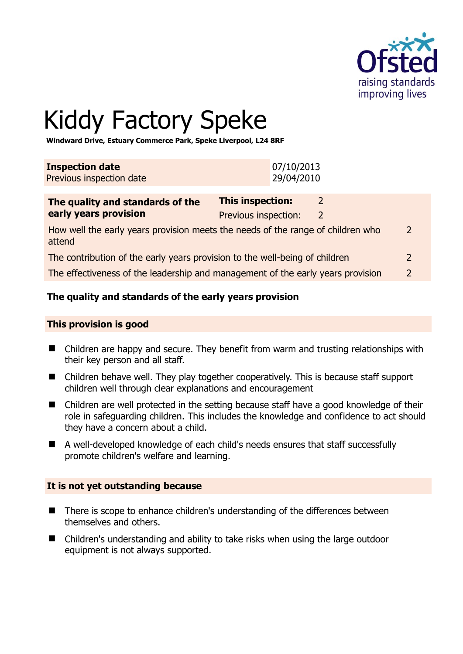

# Kiddy Factory Speke

**Windward Drive, Estuary Commerce Park, Speke Liverpool, L24 8RF** 

| <b>Inspection date</b>   | 07/10/2013 |
|--------------------------|------------|
| Previous inspection date | 29/04/2010 |

| The quality and standards of the                                                          | <b>This inspection:</b> |   |               |
|-------------------------------------------------------------------------------------------|-------------------------|---|---------------|
| early years provision                                                                     | Previous inspection:    | 2 |               |
| How well the early years provision meets the needs of the range of children who<br>attend |                         |   | $\mathcal{P}$ |
| The contribution of the early years provision to the well-being of children               |                         |   | $\mathcal{P}$ |
| The effectiveness of the leadership and management of the early years provision           |                         |   | $\mathcal{P}$ |

# **The quality and standards of the early years provision**

#### **This provision is good**

- Children are happy and secure. They benefit from warm and trusting relationships with their key person and all staff.
- Children behave well. They play together cooperatively. This is because staff support children well through clear explanations and encouragement
- Children are well protected in the setting because staff have a good knowledge of their role in safeguarding children. This includes the knowledge and confidence to act should they have a concern about a child.
- A well-developed knowledge of each child's needs ensures that staff successfully promote children's welfare and learning.

#### **It is not yet outstanding because**

- There is scope to enhance children's understanding of the differences between themselves and others.
- Children's understanding and ability to take risks when using the large outdoor equipment is not always supported.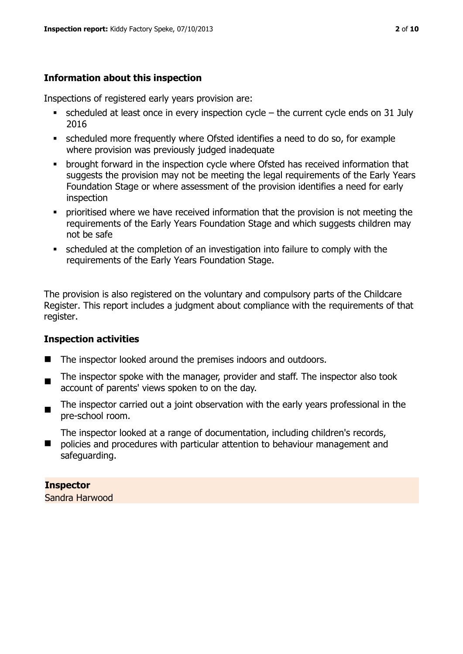# **Information about this inspection**

Inspections of registered early years provision are:

- $\bullet$  scheduled at least once in every inspection cycle the current cycle ends on 31 July 2016
- scheduled more frequently where Ofsted identifies a need to do so, for example where provision was previously judged inadequate
- **•** brought forward in the inspection cycle where Ofsted has received information that suggests the provision may not be meeting the legal requirements of the Early Years Foundation Stage or where assessment of the provision identifies a need for early inspection
- **•** prioritised where we have received information that the provision is not meeting the requirements of the Early Years Foundation Stage and which suggests children may not be safe
- scheduled at the completion of an investigation into failure to comply with the requirements of the Early Years Foundation Stage.

The provision is also registered on the voluntary and compulsory parts of the Childcare Register. This report includes a judgment about compliance with the requirements of that register.

# **Inspection activities**

- The inspector looked around the premises indoors and outdoors.
- . The inspector spoke with the manager, provider and staff. The inspector also took account of parents' views spoken to on the day.
- The inspector carried out a joint observation with the early years professional in the pre-school room.

The inspector looked at a range of documentation, including children's records,

 policies and procedures with particular attention to behaviour management and safeguarding.

# **Inspector**

Sandra Harwood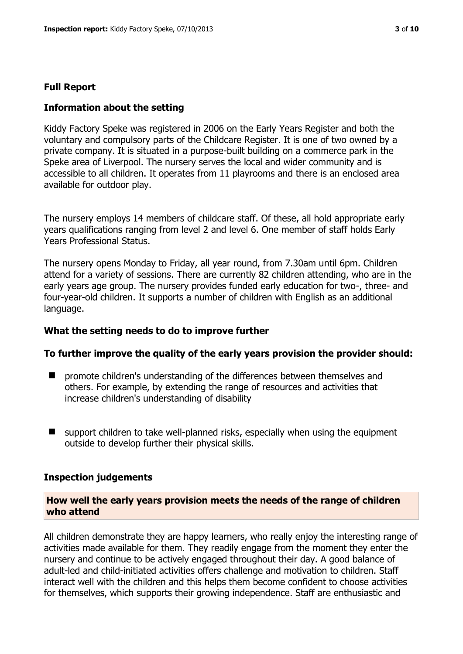#### **Full Report**

#### **Information about the setting**

Kiddy Factory Speke was registered in 2006 on the Early Years Register and both the voluntary and compulsory parts of the Childcare Register. It is one of two owned by a private company. It is situated in a purpose-built building on a commerce park in the Speke area of Liverpool. The nursery serves the local and wider community and is accessible to all children. It operates from 11 playrooms and there is an enclosed area available for outdoor play.

The nursery employs 14 members of childcare staff. Of these, all hold appropriate early years qualifications ranging from level 2 and level 6. One member of staff holds Early Years Professional Status.

The nursery opens Monday to Friday, all year round, from 7.30am until 6pm. Children attend for a variety of sessions. There are currently 82 children attending, who are in the early years age group. The nursery provides funded early education for two-, three- and four-year-old children. It supports a number of children with English as an additional language.

#### **What the setting needs to do to improve further**

#### **To further improve the quality of the early years provision the provider should:**

- $\blacksquare$  promote children's understanding of the differences between themselves and others. For example, by extending the range of resources and activities that increase children's understanding of disability
- support children to take well-planned risks, especially when using the equipment outside to develop further their physical skills.

#### **Inspection judgements**

#### **How well the early years provision meets the needs of the range of children who attend**

All children demonstrate they are happy learners, who really enjoy the interesting range of activities made available for them. They readily engage from the moment they enter the nursery and continue to be actively engaged throughout their day. A good balance of adult-led and child-initiated activities offers challenge and motivation to children. Staff interact well with the children and this helps them become confident to choose activities for themselves, which supports their growing independence. Staff are enthusiastic and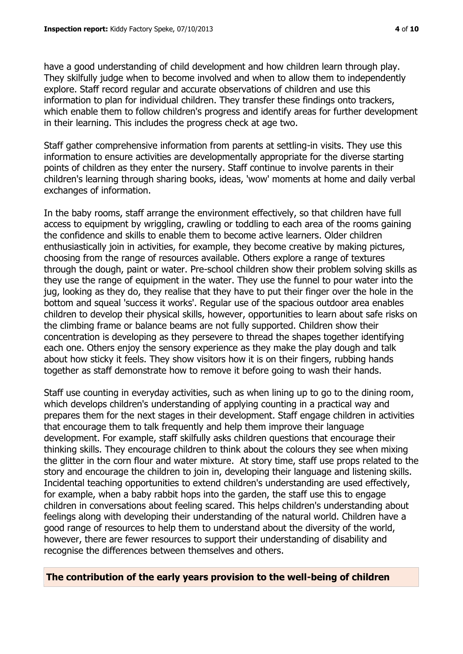have a good understanding of child development and how children learn through play. They skilfully judge when to become involved and when to allow them to independently explore. Staff record regular and accurate observations of children and use this information to plan for individual children. They transfer these findings onto trackers, which enable them to follow children's progress and identify areas for further development in their learning. This includes the progress check at age two.

Staff gather comprehensive information from parents at settling-in visits. They use this information to ensure activities are developmentally appropriate for the diverse starting points of children as they enter the nursery. Staff continue to involve parents in their children's learning through sharing books, ideas, 'wow' moments at home and daily verbal exchanges of information.

In the baby rooms, staff arrange the environment effectively, so that children have full access to equipment by wriggling, crawling or toddling to each area of the rooms gaining the confidence and skills to enable them to become active learners. Older children enthusiastically join in activities, for example, they become creative by making pictures, choosing from the range of resources available. Others explore a range of textures through the dough, paint or water. Pre-school children show their problem solving skills as they use the range of equipment in the water. They use the funnel to pour water into the jug, looking as they do, they realise that they have to put their finger over the hole in the bottom and squeal 'success it works'. Regular use of the spacious outdoor area enables children to develop their physical skills, however, opportunities to learn about safe risks on the climbing frame or balance beams are not fully supported. Children show their concentration is developing as they persevere to thread the shapes together identifying each one. Others enjoy the sensory experience as they make the play dough and talk about how sticky it feels. They show visitors how it is on their fingers, rubbing hands together as staff demonstrate how to remove it before going to wash their hands.

Staff use counting in everyday activities, such as when lining up to go to the dining room, which develops children's understanding of applying counting in a practical way and prepares them for the next stages in their development. Staff engage children in activities that encourage them to talk frequently and help them improve their language development. For example, staff skilfully asks children questions that encourage their thinking skills. They encourage children to think about the colours they see when mixing the glitter in the corn flour and water mixture. At story time, staff use props related to the story and encourage the children to join in, developing their language and listening skills. Incidental teaching opportunities to extend children's understanding are used effectively, for example, when a baby rabbit hops into the garden, the staff use this to engage children in conversations about feeling scared. This helps children's understanding about feelings along with developing their understanding of the natural world. Children have a good range of resources to help them to understand about the diversity of the world, however, there are fewer resources to support their understanding of disability and recognise the differences between themselves and others.

# **The contribution of the early years provision to the well-being of children**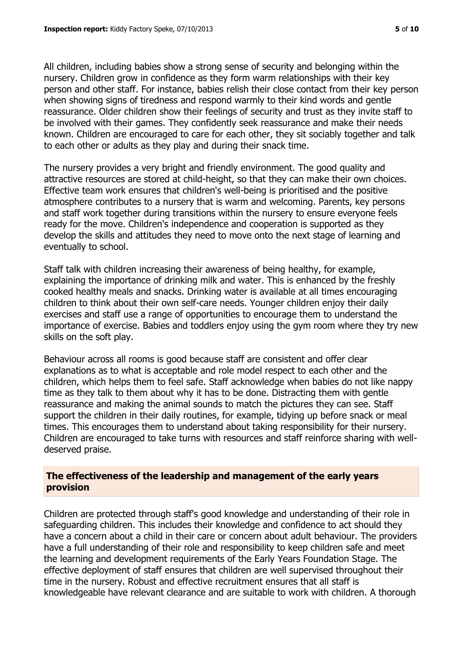All children, including babies show a strong sense of security and belonging within the nursery. Children grow in confidence as they form warm relationships with their key person and other staff. For instance, babies relish their close contact from their key person when showing signs of tiredness and respond warmly to their kind words and gentle reassurance. Older children show their feelings of security and trust as they invite staff to be involved with their games. They confidently seek reassurance and make their needs known. Children are encouraged to care for each other, they sit sociably together and talk to each other or adults as they play and during their snack time.

The nursery provides a very bright and friendly environment. The good quality and attractive resources are stored at child-height, so that they can make their own choices. Effective team work ensures that children's well-being is prioritised and the positive atmosphere contributes to a nursery that is warm and welcoming. Parents, key persons and staff work together during transitions within the nursery to ensure everyone feels ready for the move. Children's independence and cooperation is supported as they develop the skills and attitudes they need to move onto the next stage of learning and eventually to school.

Staff talk with children increasing their awareness of being healthy, for example, explaining the importance of drinking milk and water. This is enhanced by the freshly cooked healthy meals and snacks. Drinking water is available at all times encouraging children to think about their own self-care needs. Younger children enjoy their daily exercises and staff use a range of opportunities to encourage them to understand the importance of exercise. Babies and toddlers enjoy using the gym room where they try new skills on the soft play.

Behaviour across all rooms is good because staff are consistent and offer clear explanations as to what is acceptable and role model respect to each other and the children, which helps them to feel safe. Staff acknowledge when babies do not like nappy time as they talk to them about why it has to be done. Distracting them with gentle reassurance and making the animal sounds to match the pictures they can see. Staff support the children in their daily routines, for example, tidying up before snack or meal times. This encourages them to understand about taking responsibility for their nursery. Children are encouraged to take turns with resources and staff reinforce sharing with welldeserved praise.

### **The effectiveness of the leadership and management of the early years provision**

Children are protected through staff's good knowledge and understanding of their role in safeguarding children. This includes their knowledge and confidence to act should they have a concern about a child in their care or concern about adult behaviour. The providers have a full understanding of their role and responsibility to keep children safe and meet the learning and development requirements of the Early Years Foundation Stage. The effective deployment of staff ensures that children are well supervised throughout their time in the nursery. Robust and effective recruitment ensures that all staff is knowledgeable have relevant clearance and are suitable to work with children. A thorough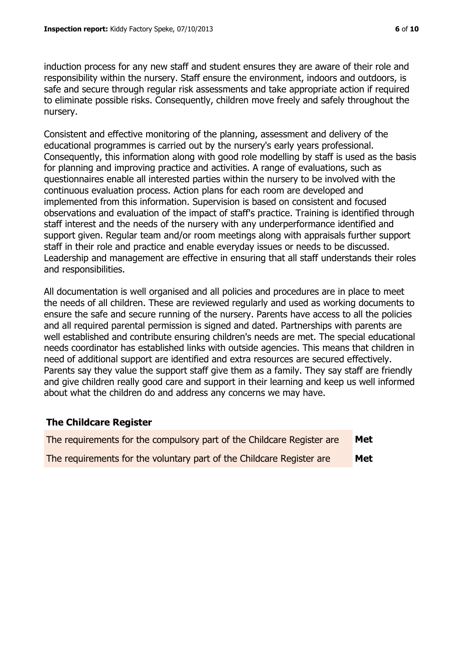induction process for any new staff and student ensures they are aware of their role and responsibility within the nursery. Staff ensure the environment, indoors and outdoors, is safe and secure through regular risk assessments and take appropriate action if required to eliminate possible risks. Consequently, children move freely and safely throughout the nursery.

Consistent and effective monitoring of the planning, assessment and delivery of the educational programmes is carried out by the nursery's early years professional. Consequently, this information along with good role modelling by staff is used as the basis for planning and improving practice and activities. A range of evaluations, such as questionnaires enable all interested parties within the nursery to be involved with the continuous evaluation process. Action plans for each room are developed and implemented from this information. Supervision is based on consistent and focused observations and evaluation of the impact of staff's practice. Training is identified through staff interest and the needs of the nursery with any underperformance identified and support given. Regular team and/or room meetings along with appraisals further support staff in their role and practice and enable everyday issues or needs to be discussed. Leadership and management are effective in ensuring that all staff understands their roles and responsibilities.

All documentation is well organised and all policies and procedures are in place to meet the needs of all children. These are reviewed regularly and used as working documents to ensure the safe and secure running of the nursery. Parents have access to all the policies and all required parental permission is signed and dated. Partnerships with parents are well established and contribute ensuring children's needs are met. The special educational needs coordinator has established links with outside agencies. This means that children in need of additional support are identified and extra resources are secured effectively. Parents say they value the support staff give them as a family. They say staff are friendly and give children really good care and support in their learning and keep us well informed about what the children do and address any concerns we may have.

# **The Childcare Register**

| The requirements for the compulsory part of the Childcare Register are | Met |
|------------------------------------------------------------------------|-----|
| The requirements for the voluntary part of the Childcare Register are  | Met |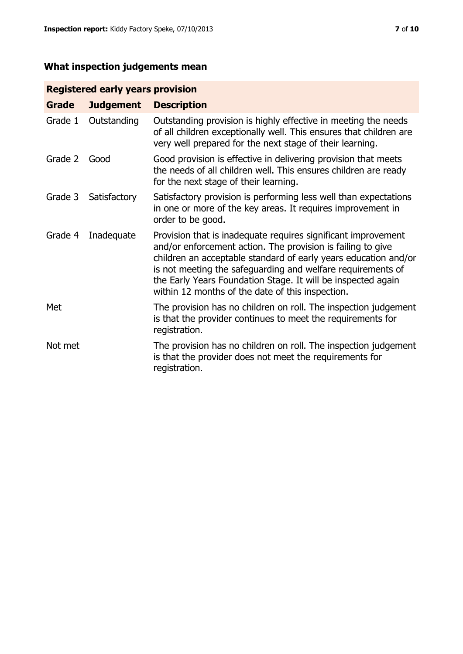# **What inspection judgements mean**

# **Registered early years provision**

| Grade   | <b>Judgement</b> | <b>Description</b>                                                                                                                                                                                                                                                                                                                                                                 |
|---------|------------------|------------------------------------------------------------------------------------------------------------------------------------------------------------------------------------------------------------------------------------------------------------------------------------------------------------------------------------------------------------------------------------|
| Grade 1 | Outstanding      | Outstanding provision is highly effective in meeting the needs<br>of all children exceptionally well. This ensures that children are<br>very well prepared for the next stage of their learning.                                                                                                                                                                                   |
| Grade 2 | Good             | Good provision is effective in delivering provision that meets<br>the needs of all children well. This ensures children are ready<br>for the next stage of their learning.                                                                                                                                                                                                         |
| Grade 3 | Satisfactory     | Satisfactory provision is performing less well than expectations<br>in one or more of the key areas. It requires improvement in<br>order to be good.                                                                                                                                                                                                                               |
| Grade 4 | Inadequate       | Provision that is inadequate requires significant improvement<br>and/or enforcement action. The provision is failing to give<br>children an acceptable standard of early years education and/or<br>is not meeting the safeguarding and welfare requirements of<br>the Early Years Foundation Stage. It will be inspected again<br>within 12 months of the date of this inspection. |
| Met     |                  | The provision has no children on roll. The inspection judgement<br>is that the provider continues to meet the requirements for<br>registration.                                                                                                                                                                                                                                    |
| Not met |                  | The provision has no children on roll. The inspection judgement<br>is that the provider does not meet the requirements for<br>registration.                                                                                                                                                                                                                                        |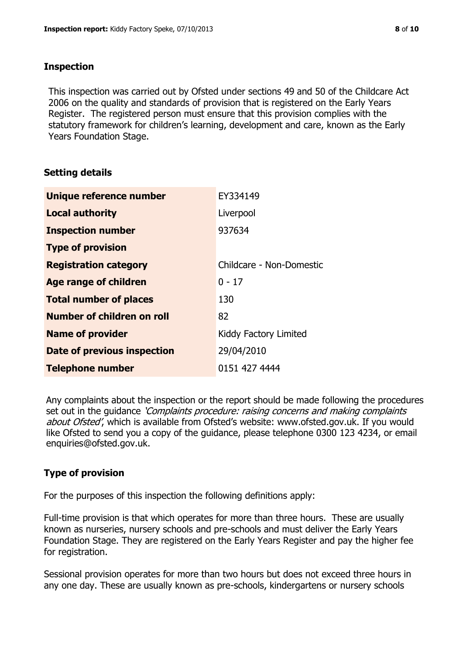### **Inspection**

This inspection was carried out by Ofsted under sections 49 and 50 of the Childcare Act 2006 on the quality and standards of provision that is registered on the Early Years Register. The registered person must ensure that this provision complies with the statutory framework for children's learning, development and care, known as the Early Years Foundation Stage.

# **Setting details**

| Unique reference number       | EY334149                 |
|-------------------------------|--------------------------|
| <b>Local authority</b>        | Liverpool                |
| <b>Inspection number</b>      | 937634                   |
| <b>Type of provision</b>      |                          |
| <b>Registration category</b>  | Childcare - Non-Domestic |
| <b>Age range of children</b>  | $0 - 17$                 |
| <b>Total number of places</b> | 130                      |
| Number of children on roll    | 82                       |
| <b>Name of provider</b>       | Kiddy Factory Limited    |
| Date of previous inspection   | 29/04/2010               |
| <b>Telephone number</b>       | 0151 427 4444            |

Any complaints about the inspection or the report should be made following the procedures set out in the guidance *'Complaints procedure: raising concerns and making complaints* about Ofsted', which is available from Ofsted's website: www.ofsted.gov.uk. If you would like Ofsted to send you a copy of the guidance, please telephone 0300 123 4234, or email enquiries@ofsted.gov.uk.

# **Type of provision**

For the purposes of this inspection the following definitions apply:

Full-time provision is that which operates for more than three hours. These are usually known as nurseries, nursery schools and pre-schools and must deliver the Early Years Foundation Stage. They are registered on the Early Years Register and pay the higher fee for registration.

Sessional provision operates for more than two hours but does not exceed three hours in any one day. These are usually known as pre-schools, kindergartens or nursery schools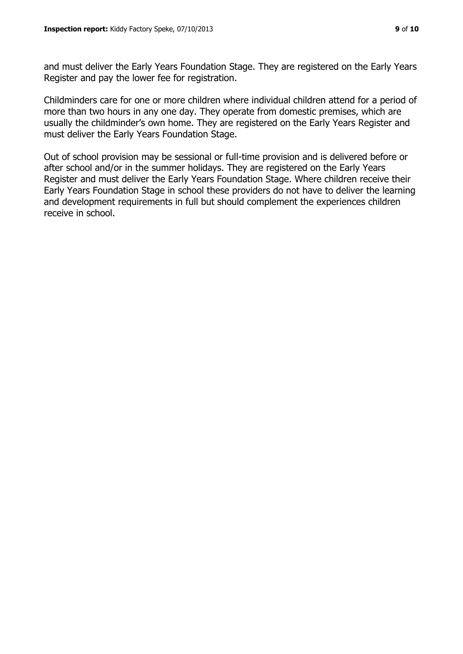and must deliver the Early Years Foundation Stage. They are registered on the Early Years Register and pay the lower fee for registration.

Childminders care for one or more children where individual children attend for a period of more than two hours in any one day. They operate from domestic premises, which are usually the childminder's own home. They are registered on the Early Years Register and must deliver the Early Years Foundation Stage.

Out of school provision may be sessional or full-time provision and is delivered before or after school and/or in the summer holidays. They are registered on the Early Years Register and must deliver the Early Years Foundation Stage. Where children receive their Early Years Foundation Stage in school these providers do not have to deliver the learning and development requirements in full but should complement the experiences children receive in school.